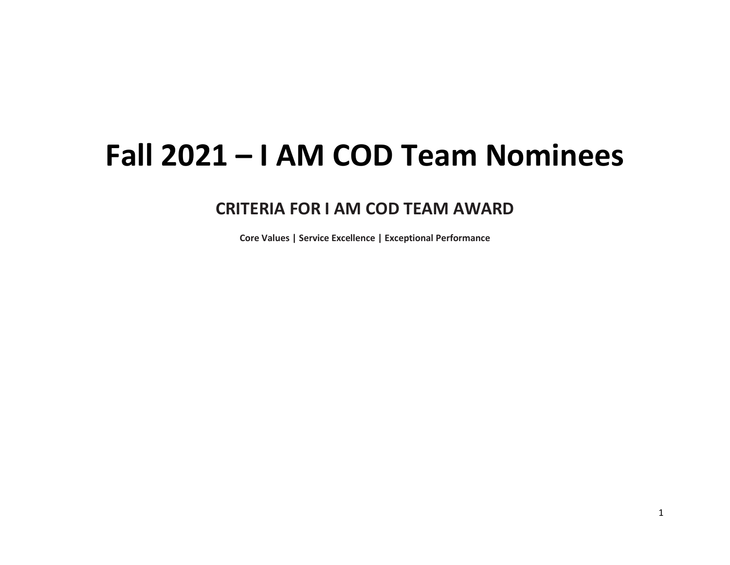## **Fall 2021 – I AM COD Team Nominees**

## **CRITERIA FOR I AM COD TEAM AWARD**

**Core Values | Service Excellence | Exceptional Performance**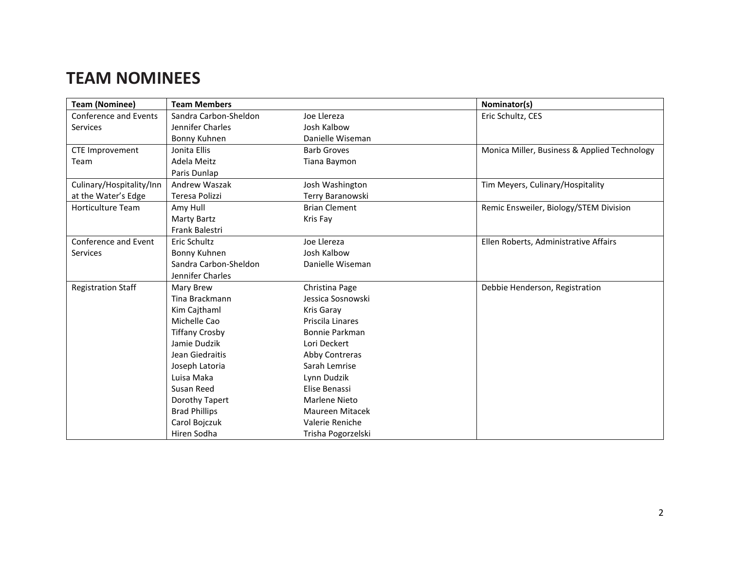## **TEAM NOMINEES**

| <b>Team (Nominee)</b>        | <b>Team Members</b>   |                      | Nominator(s)                                 |
|------------------------------|-----------------------|----------------------|----------------------------------------------|
| <b>Conference and Events</b> | Sandra Carbon-Sheldon | Joe Llereza          | Eric Schultz, CES                            |
| <b>Services</b>              | Jennifer Charles      | Josh Kalbow          |                                              |
|                              | Bonny Kuhnen          | Danielle Wiseman     |                                              |
| <b>CTE Improvement</b>       | Jonita Ellis          | <b>Barb Groves</b>   | Monica Miller, Business & Applied Technology |
| Team                         | Adela Meitz           | Tiana Baymon         |                                              |
|                              | Paris Dunlap          |                      |                                              |
| Culinary/Hospitality/Inn     | Andrew Waszak         | Josh Washington      | Tim Meyers, Culinary/Hospitality             |
| at the Water's Edge          | Teresa Polizzi        | Terry Baranowski     |                                              |
| <b>Horticulture Team</b>     | Amy Hull              | <b>Brian Clement</b> | Remic Ensweiler, Biology/STEM Division       |
|                              | Marty Bartz           | Kris Fay             |                                              |
|                              | Frank Balestri        |                      |                                              |
| Conference and Event         | Eric Schultz          | Joe Llereza          | Ellen Roberts, Administrative Affairs        |
| <b>Services</b>              | Bonny Kuhnen          | Josh Kalbow          |                                              |
|                              | Sandra Carbon-Sheldon | Danielle Wiseman     |                                              |
|                              | Jennifer Charles      |                      |                                              |
| <b>Registration Staff</b>    | Mary Brew             | Christina Page       | Debbie Henderson, Registration               |
|                              | Tina Brackmann        | Jessica Sosnowski    |                                              |
|                              | Kim Cajthaml          | Kris Garay           |                                              |
|                              | Michelle Cao          | Priscila Linares     |                                              |
|                              | <b>Tiffany Crosby</b> | Bonnie Parkman       |                                              |
|                              | Jamie Dudzik          | Lori Deckert         |                                              |
|                              | Jean Giedraitis       | Abby Contreras       |                                              |
|                              | Joseph Latoria        | Sarah Lemrise        |                                              |
|                              | Luisa Maka            | Lynn Dudzik          |                                              |
|                              | Susan Reed            | Elise Benassi        |                                              |
|                              | Dorothy Tapert        | <b>Marlene Nieto</b> |                                              |
|                              | <b>Brad Phillips</b>  | Maureen Mitacek      |                                              |
|                              | Carol Bojczuk         | Valerie Reniche      |                                              |
|                              | Hiren Sodha           | Trisha Pogorzelski   |                                              |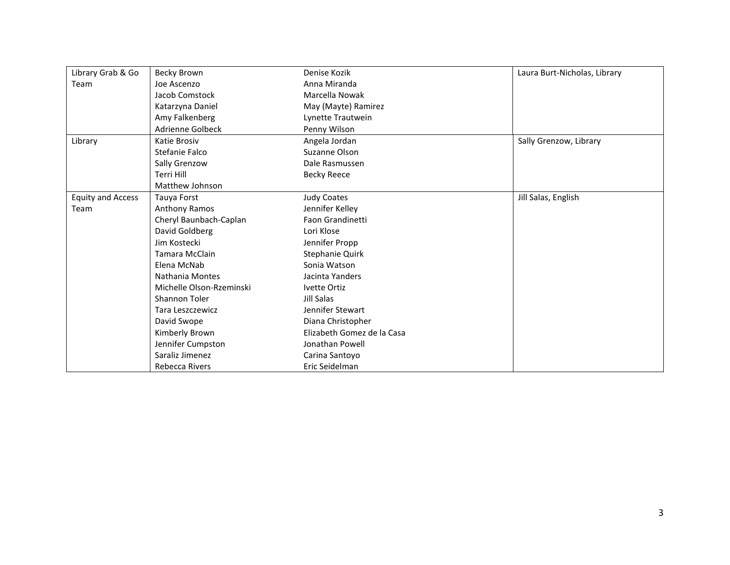| Library Grab & Go        | Becky Brown              | Denise Kozik               | Laura Burt-Nicholas, Library |
|--------------------------|--------------------------|----------------------------|------------------------------|
| Team                     | Joe Ascenzo              | Anna Miranda               |                              |
|                          | Jacob Comstock           | Marcella Nowak             |                              |
|                          | Katarzyna Daniel         | May (Mayte) Ramirez        |                              |
|                          | Amy Falkenberg           | Lynette Trautwein          |                              |
|                          | Adrienne Golbeck         | Penny Wilson               |                              |
| Library                  | Katie Brosiv             | Angela Jordan              | Sally Grenzow, Library       |
|                          | Stefanie Falco           | Suzanne Olson              |                              |
|                          | Sally Grenzow            | Dale Rasmussen             |                              |
|                          | Terri Hill               | <b>Becky Reece</b>         |                              |
|                          | Matthew Johnson          |                            |                              |
| <b>Equity and Access</b> | Tauya Forst              | <b>Judy Coates</b>         | Jill Salas, English          |
| Team                     | Anthony Ramos            | Jennifer Kelley            |                              |
|                          | Cheryl Baunbach-Caplan   | Faon Grandinetti           |                              |
|                          | David Goldberg           | Lori Klose                 |                              |
|                          | Jim Kostecki             | Jennifer Propp             |                              |
|                          | Tamara McClain           | Stephanie Quirk            |                              |
|                          | Elena McNab              | Sonia Watson               |                              |
|                          | Nathania Montes          | Jacinta Yanders            |                              |
|                          | Michelle Olson-Rzeminski | Ivette Ortiz               |                              |
|                          | Shannon Toler            | Jill Salas                 |                              |
|                          | <b>Tara Leszczewicz</b>  | Jennifer Stewart           |                              |
|                          | David Swope              | Diana Christopher          |                              |
|                          | Kimberly Brown           | Elizabeth Gomez de la Casa |                              |
|                          | Jennifer Cumpston        | Jonathan Powell            |                              |
|                          | Saraliz Jimenez          | Carina Santoyo             |                              |
|                          | Rebecca Rivers           | Eric Seidelman             |                              |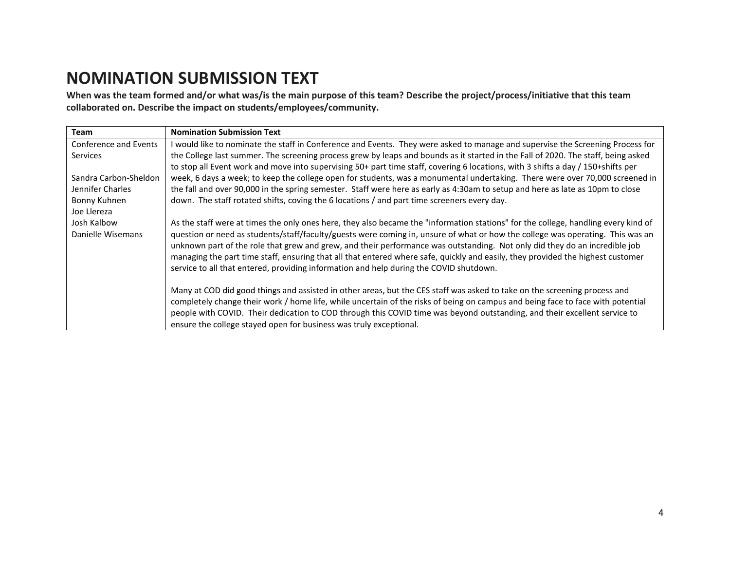## **NOMINATION SUBMISSION TEXT**

**When was the team formed and/or what was/is the main purpose of this team? Describe the project/process/initiative that this team collaborated on. Describe the impact on students/employees/community.**

| Team                             | <b>Nomination Submission Text</b>                                                                                                                                                                                                                                                                                                                                                                                                                                                                                                                                                                                               |
|----------------------------------|---------------------------------------------------------------------------------------------------------------------------------------------------------------------------------------------------------------------------------------------------------------------------------------------------------------------------------------------------------------------------------------------------------------------------------------------------------------------------------------------------------------------------------------------------------------------------------------------------------------------------------|
| <b>Conference and Events</b>     | I would like to nominate the staff in Conference and Events. They were asked to manage and supervise the Screening Process for                                                                                                                                                                                                                                                                                                                                                                                                                                                                                                  |
| Services                         | the College last summer. The screening process grew by leaps and bounds as it started in the Fall of 2020. The staff, being asked<br>to stop all Event work and move into supervising 50+ part time staff, covering 6 locations, with 3 shifts a day / 150+shifts per                                                                                                                                                                                                                                                                                                                                                           |
| Sandra Carbon-Sheldon            | week, 6 days a week; to keep the college open for students, was a monumental undertaking. There were over 70,000 screened in                                                                                                                                                                                                                                                                                                                                                                                                                                                                                                    |
| Jennifer Charles                 | the fall and over 90,000 in the spring semester. Staff were here as early as 4:30am to setup and here as late as 10pm to close                                                                                                                                                                                                                                                                                                                                                                                                                                                                                                  |
| Bonny Kuhnen                     | down. The staff rotated shifts, coving the 6 locations / and part time screeners every day.                                                                                                                                                                                                                                                                                                                                                                                                                                                                                                                                     |
| Joe Llereza                      |                                                                                                                                                                                                                                                                                                                                                                                                                                                                                                                                                                                                                                 |
| Josh Kalbow<br>Danielle Wisemans | As the staff were at times the only ones here, they also became the "information stations" for the college, handling every kind of<br>question or need as students/staff/faculty/guests were coming in, unsure of what or how the college was operating. This was an<br>unknown part of the role that grew and grew, and their performance was outstanding. Not only did they do an incredible job<br>managing the part time staff, ensuring that all that entered where safe, quickly and easily, they provided the highest customer<br>service to all that entered, providing information and help during the COVID shutdown. |
|                                  | Many at COD did good things and assisted in other areas, but the CES staff was asked to take on the screening process and<br>completely change their work / home life, while uncertain of the risks of being on campus and being face to face with potential<br>people with COVID. Their dedication to COD through this COVID time was beyond outstanding, and their excellent service to<br>ensure the college stayed open for business was truly exceptional.                                                                                                                                                                 |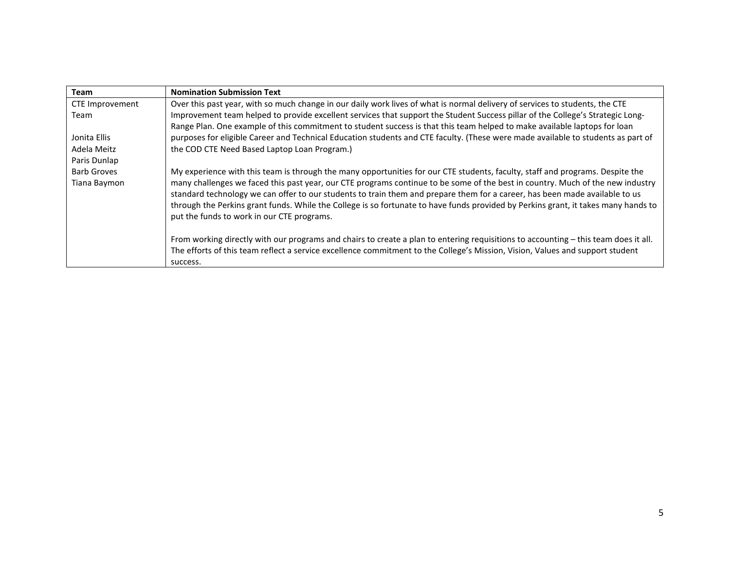| Team               | <b>Nomination Submission Text</b>                                                                                                   |
|--------------------|-------------------------------------------------------------------------------------------------------------------------------------|
| CTE Improvement    | Over this past year, with so much change in our daily work lives of what is normal delivery of services to students, the CTE        |
| Team               | Improvement team helped to provide excellent services that support the Student Success pillar of the College's Strategic Long-      |
|                    | Range Plan. One example of this commitment to student success is that this team helped to make available laptops for loan           |
| Jonita Ellis       | purposes for eligible Career and Technical Education students and CTE faculty. (These were made available to students as part of    |
| Adela Meitz        | the COD CTE Need Based Laptop Loan Program.)                                                                                        |
| Paris Dunlap       |                                                                                                                                     |
| <b>Barb Groves</b> | My experience with this team is through the many opportunities for our CTE students, faculty, staff and programs. Despite the       |
| Tiana Baymon       | many challenges we faced this past year, our CTE programs continue to be some of the best in country. Much of the new industry      |
|                    | standard technology we can offer to our students to train them and prepare them for a career, has been made available to us         |
|                    | through the Perkins grant funds. While the College is so fortunate to have funds provided by Perkins grant, it takes many hands to  |
|                    | put the funds to work in our CTE programs.                                                                                          |
|                    |                                                                                                                                     |
|                    | From working directly with our programs and chairs to create a plan to entering requisitions to accounting – this team does it all. |
|                    | The efforts of this team reflect a service excellence commitment to the College's Mission, Vision, Values and support student       |
|                    | success.                                                                                                                            |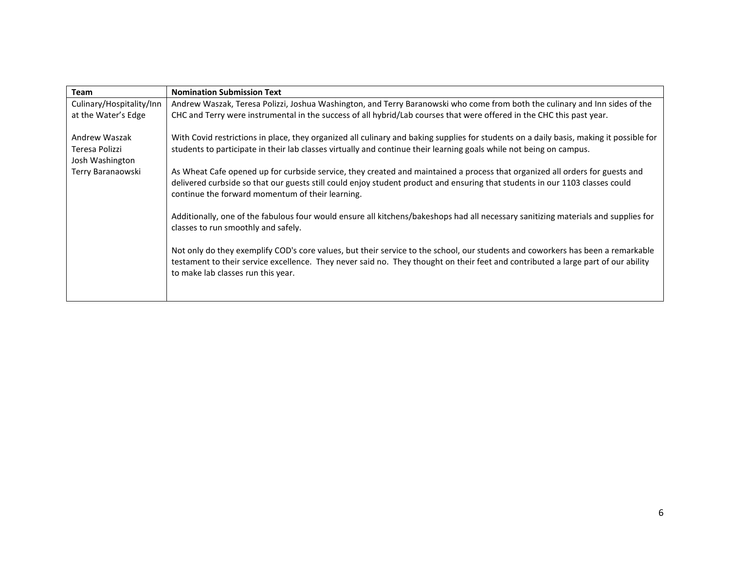| <b>Team</b>              | <b>Nomination Submission Text</b>                                                                                                                                                |
|--------------------------|----------------------------------------------------------------------------------------------------------------------------------------------------------------------------------|
| Culinary/Hospitality/Inn | Andrew Waszak, Teresa Polizzi, Joshua Washington, and Terry Baranowski who come from both the culinary and Inn sides of the                                                      |
| at the Water's Edge      | CHC and Terry were instrumental in the success of all hybrid/Lab courses that were offered in the CHC this past year.                                                            |
| Andrew Waszak            | With Covid restrictions in place, they organized all culinary and baking supplies for students on a daily basis, making it possible for                                          |
| Teresa Polizzi           | students to participate in their lab classes virtually and continue their learning goals while not being on campus.                                                              |
| Josh Washington          |                                                                                                                                                                                  |
| Terry Baranaowski        | As Wheat Cafe opened up for curbside service, they created and maintained a process that organized all orders for guests and                                                     |
|                          | delivered curbside so that our guests still could enjoy student product and ensuring that students in our 1103 classes could<br>continue the forward momentum of their learning. |
|                          | Additionally, one of the fabulous four would ensure all kitchens/bakeshops had all necessary sanitizing materials and supplies for<br>classes to run smoothly and safely.        |
|                          | Not only do they exemplify COD's core values, but their service to the school, our students and coworkers has been a remarkable                                                  |
|                          | testament to their service excellence. They never said no. They thought on their feet and contributed a large part of our ability<br>to make lab classes run this year.          |
|                          |                                                                                                                                                                                  |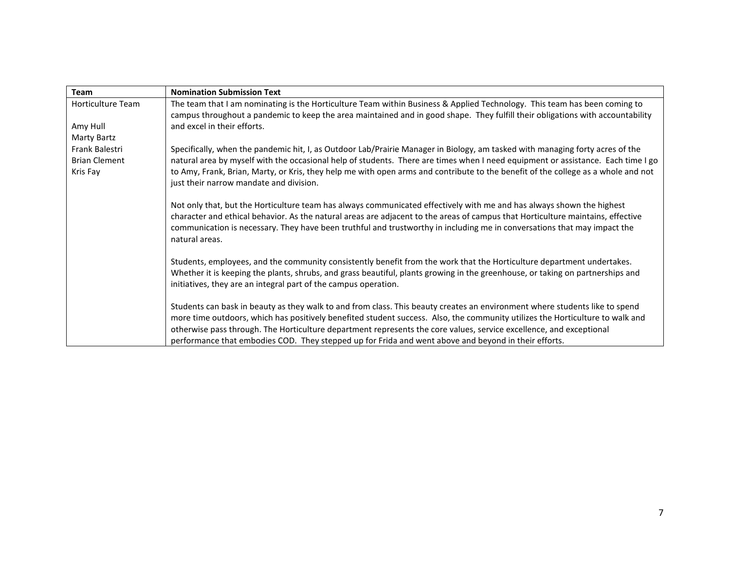| <b>Team</b>          | <b>Nomination Submission Text</b>                                                                                                                                                                                                                                             |
|----------------------|-------------------------------------------------------------------------------------------------------------------------------------------------------------------------------------------------------------------------------------------------------------------------------|
| Horticulture Team    | The team that I am nominating is the Horticulture Team within Business & Applied Technology. This team has been coming to<br>campus throughout a pandemic to keep the area maintained and in good shape. They fulfill their obligations with accountability                   |
| Amy Hull             | and excel in their efforts.                                                                                                                                                                                                                                                   |
| Marty Bartz          |                                                                                                                                                                                                                                                                               |
| Frank Balestri       | Specifically, when the pandemic hit, I, as Outdoor Lab/Prairie Manager in Biology, am tasked with managing forty acres of the                                                                                                                                                 |
| <b>Brian Clement</b> | natural area by myself with the occasional help of students. There are times when I need equipment or assistance. Each time I go                                                                                                                                              |
| Kris Fay             | to Amy, Frank, Brian, Marty, or Kris, they help me with open arms and contribute to the benefit of the college as a whole and not<br>just their narrow mandate and division.                                                                                                  |
|                      | Not only that, but the Horticulture team has always communicated effectively with me and has always shown the highest                                                                                                                                                         |
|                      | character and ethical behavior. As the natural areas are adjacent to the areas of campus that Horticulture maintains, effective<br>communication is necessary. They have been truthful and trustworthy in including me in conversations that may impact the<br>natural areas. |
|                      | Students, employees, and the community consistently benefit from the work that the Horticulture department undertakes.                                                                                                                                                        |
|                      | Whether it is keeping the plants, shrubs, and grass beautiful, plants growing in the greenhouse, or taking on partnerships and                                                                                                                                                |
|                      | initiatives, they are an integral part of the campus operation.                                                                                                                                                                                                               |
|                      | Students can bask in beauty as they walk to and from class. This beauty creates an environment where students like to spend                                                                                                                                                   |
|                      | more time outdoors, which has positively benefited student success. Also, the community utilizes the Horticulture to walk and                                                                                                                                                 |
|                      | otherwise pass through. The Horticulture department represents the core values, service excellence, and exceptional                                                                                                                                                           |
|                      | performance that embodies COD. They stepped up for Frida and went above and beyond in their efforts.                                                                                                                                                                          |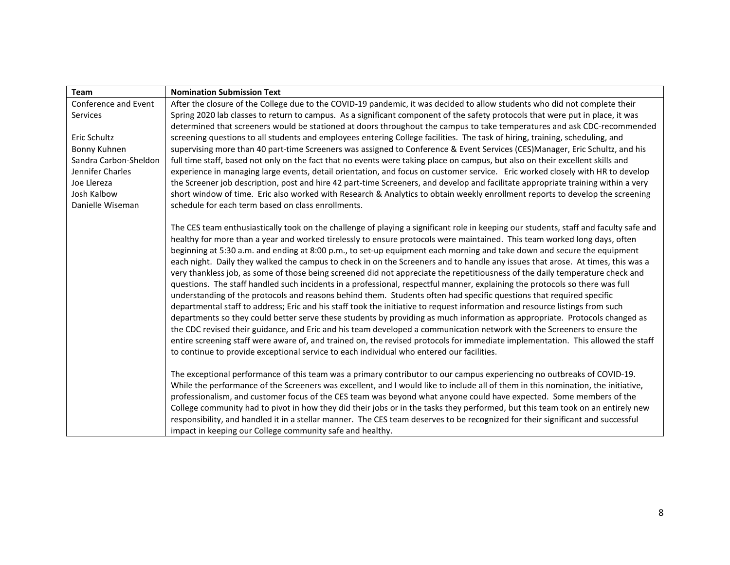| Team                  | <b>Nomination Submission Text</b>                                                                                                     |
|-----------------------|---------------------------------------------------------------------------------------------------------------------------------------|
| Conference and Event  | After the closure of the College due to the COVID-19 pandemic, it was decided to allow students who did not complete their            |
| Services              | Spring 2020 lab classes to return to campus. As a significant component of the safety protocols that were put in place, it was        |
|                       | determined that screeners would be stationed at doors throughout the campus to take temperatures and ask CDC-recommended              |
| Eric Schultz          | screening questions to all students and employees entering College facilities. The task of hiring, training, scheduling, and          |
| Bonny Kuhnen          | supervising more than 40 part-time Screeners was assigned to Conference & Event Services (CES)Manager, Eric Schultz, and his          |
| Sandra Carbon-Sheldon | full time staff, based not only on the fact that no events were taking place on campus, but also on their excellent skills and        |
| Jennifer Charles      | experience in managing large events, detail orientation, and focus on customer service. Eric worked closely with HR to develop        |
| Joe Llereza           | the Screener job description, post and hire 42 part-time Screeners, and develop and facilitate appropriate training within a very     |
| Josh Kalbow           | short window of time. Eric also worked with Research & Analytics to obtain weekly enrollment reports to develop the screening         |
| Danielle Wiseman      | schedule for each term based on class enrollments.                                                                                    |
|                       | The CES team enthusiastically took on the challenge of playing a significant role in keeping our students, staff and faculty safe and |
|                       | healthy for more than a year and worked tirelessly to ensure protocols were maintained. This team worked long days, often             |
|                       | beginning at 5:30 a.m. and ending at 8:00 p.m., to set-up equipment each morning and take down and secure the equipment               |
|                       | each night. Daily they walked the campus to check in on the Screeners and to handle any issues that arose. At times, this was a       |
|                       | very thankless job, as some of those being screened did not appreciate the repetitiousness of the daily temperature check and         |
|                       | questions. The staff handled such incidents in a professional, respectful manner, explaining the protocols so there was full          |
|                       | understanding of the protocols and reasons behind them. Students often had specific questions that required specific                  |
|                       | departmental staff to address; Eric and his staff took the initiative to request information and resource listings from such          |
|                       | departments so they could better serve these students by providing as much information as appropriate. Protocols changed as           |
|                       | the CDC revised their guidance, and Eric and his team developed a communication network with the Screeners to ensure the              |
|                       | entire screening staff were aware of, and trained on, the revised protocols for immediate implementation. This allowed the staff      |
|                       | to continue to provide exceptional service to each individual who entered our facilities.                                             |
|                       |                                                                                                                                       |
|                       | The exceptional performance of this team was a primary contributor to our campus experiencing no outbreaks of COVID-19.               |
|                       | While the performance of the Screeners was excellent, and I would like to include all of them in this nomination, the initiative,     |
|                       | professionalism, and customer focus of the CES team was beyond what anyone could have expected. Some members of the                   |
|                       | College community had to pivot in how they did their jobs or in the tasks they performed, but this team took on an entirely new       |
|                       | responsibility, and handled it in a stellar manner. The CES team deserves to be recognized for their significant and successful       |
|                       | impact in keeping our College community safe and healthy.                                                                             |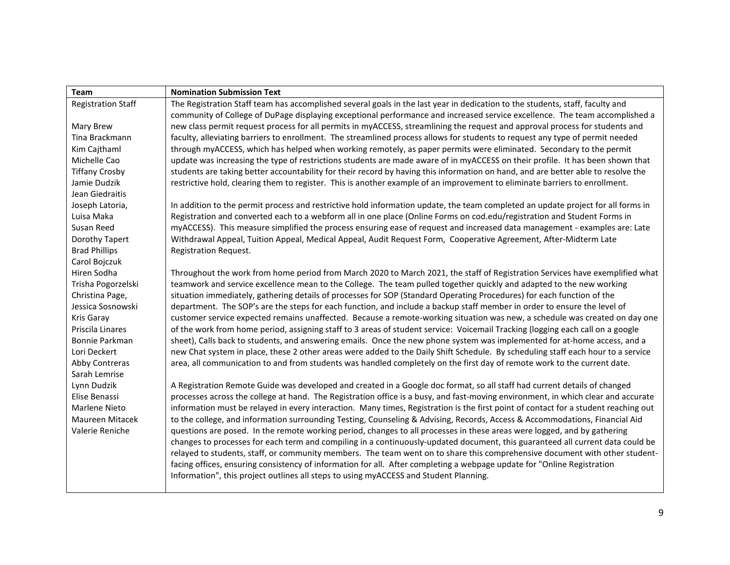| Team                      | <b>Nomination Submission Text</b>                                                                                                   |
|---------------------------|-------------------------------------------------------------------------------------------------------------------------------------|
| <b>Registration Staff</b> | The Registration Staff team has accomplished several goals in the last year in dedication to the students, staff, faculty and       |
|                           | community of College of DuPage displaying exceptional performance and increased service excellence. The team accomplished a         |
| Mary Brew                 | new class permit request process for all permits in myACCESS, streamlining the request and approval process for students and        |
| Tina Brackmann            | faculty, alleviating barriers to enrollment. The streamlined process allows for students to request any type of permit needed       |
| Kim Cajthaml              | through myACCESS, which has helped when working remotely, as paper permits were eliminated. Secondary to the permit                 |
| Michelle Cao              | update was increasing the type of restrictions students are made aware of in myACCESS on their profile. It has been shown that      |
| <b>Tiffany Crosby</b>     | students are taking better accountability for their record by having this information on hand, and are better able to resolve the   |
| Jamie Dudzik              | restrictive hold, clearing them to register. This is another example of an improvement to eliminate barriers to enrollment.         |
| Jean Giedraitis           |                                                                                                                                     |
| Joseph Latoria,           | In addition to the permit process and restrictive hold information update, the team completed an update project for all forms in    |
| Luisa Maka                | Registration and converted each to a webform all in one place (Online Forms on cod.edu/registration and Student Forms in            |
| Susan Reed                | myACCESS). This measure simplified the process ensuring ease of request and increased data management - examples are: Late          |
| Dorothy Tapert            | Withdrawal Appeal, Tuition Appeal, Medical Appeal, Audit Request Form, Cooperative Agreement, After-Midterm Late                    |
| <b>Brad Phillips</b>      | <b>Registration Request.</b>                                                                                                        |
| Carol Bojczuk             |                                                                                                                                     |
| Hiren Sodha               | Throughout the work from home period from March 2020 to March 2021, the staff of Registration Services have exemplified what        |
| Trisha Pogorzelski        | teamwork and service excellence mean to the College. The team pulled together quickly and adapted to the new working                |
| Christina Page,           | situation immediately, gathering details of processes for SOP (Standard Operating Procedures) for each function of the              |
| Jessica Sosnowski         | department. The SOP's are the steps for each function, and include a backup staff member in order to ensure the level of            |
| Kris Garay                | customer service expected remains unaffected. Because a remote-working situation was new, a schedule was created on day one         |
| Priscila Linares          | of the work from home period, assigning staff to 3 areas of student service: Voicemail Tracking (logging each call on a google      |
| Bonnie Parkman            | sheet), Calls back to students, and answering emails. Once the new phone system was implemented for at-home access, and a           |
| Lori Deckert              | new Chat system in place, these 2 other areas were added to the Daily Shift Schedule. By scheduling staff each hour to a service    |
| Abby Contreras            | area, all communication to and from students was handled completely on the first day of remote work to the current date.            |
| Sarah Lemrise             |                                                                                                                                     |
| Lynn Dudzik               | A Registration Remote Guide was developed and created in a Google doc format, so all staff had current details of changed           |
| Elise Benassi             | processes across the college at hand. The Registration office is a busy, and fast-moving environment, in which clear and accurate   |
| Marlene Nieto             | information must be relayed in every interaction. Many times, Registration is the first point of contact for a student reaching out |
| Maureen Mitacek           | to the college, and information surrounding Testing, Counseling & Advising, Records, Access & Accommodations, Financial Aid         |
| Valerie Reniche           | questions are posed. In the remote working period, changes to all processes in these areas were logged, and by gathering            |
|                           | changes to processes for each term and compiling in a continuously-updated document, this guaranteed all current data could be      |
|                           | relayed to students, staff, or community members. The team went on to share this comprehensive document with other student-         |
|                           | facing offices, ensuring consistency of information for all. After completing a webpage update for "Online Registration             |
|                           | Information", this project outlines all steps to using myACCESS and Student Planning.                                               |
|                           |                                                                                                                                     |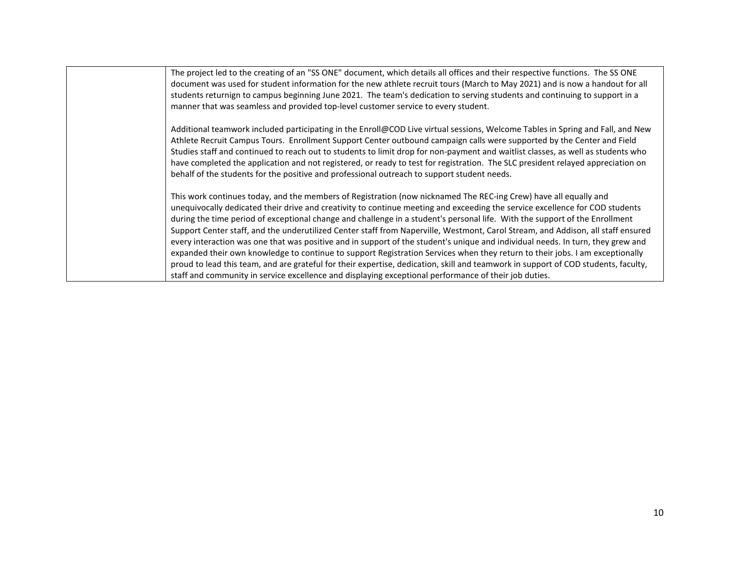| The project led to the creating of an "SS ONE" document, which details all offices and their respective functions. The SS ONE<br>document was used for student information for the new athlete recruit tours (March to May 2021) and is now a handout for all<br>students returnign to campus beginning June 2021. The team's dedication to serving students and continuing to support in a<br>manner that was seamless and provided top-level customer service to every student.                                                                                                                                                                                                                                                                                                                                                                                                                                                                                                                                                     |
|---------------------------------------------------------------------------------------------------------------------------------------------------------------------------------------------------------------------------------------------------------------------------------------------------------------------------------------------------------------------------------------------------------------------------------------------------------------------------------------------------------------------------------------------------------------------------------------------------------------------------------------------------------------------------------------------------------------------------------------------------------------------------------------------------------------------------------------------------------------------------------------------------------------------------------------------------------------------------------------------------------------------------------------|
| Additional teamwork included participating in the Enroll@COD Live virtual sessions, Welcome Tables in Spring and Fall, and New<br>Athlete Recruit Campus Tours. Enrollment Support Center outbound campaign calls were supported by the Center and Field<br>Studies staff and continued to reach out to students to limit drop for non-payment and waitlist classes, as well as students who<br>have completed the application and not registered, or ready to test for registration. The SLC president relayed appreciation on<br>behalf of the students for the positive and professional outreach to support student needs.                                                                                                                                                                                                                                                                                                                                                                                                        |
| This work continues today, and the members of Registration (now nicknamed The REC-ing Crew) have all equally and<br>unequivocally dedicated their drive and creativity to continue meeting and exceeding the service excellence for COD students<br>during the time period of exceptional change and challenge in a student's personal life. With the support of the Enrollment<br>Support Center staff, and the underutilized Center staff from Naperville, Westmont, Carol Stream, and Addison, all staff ensured<br>every interaction was one that was positive and in support of the student's unique and individual needs. In turn, they grew and<br>expanded their own knowledge to continue to support Registration Services when they return to their jobs. I am exceptionally<br>proud to lead this team, and are grateful for their expertise, dedication, skill and teamwork in support of COD students, faculty,<br>staff and community in service excellence and displaying exceptional performance of their job duties. |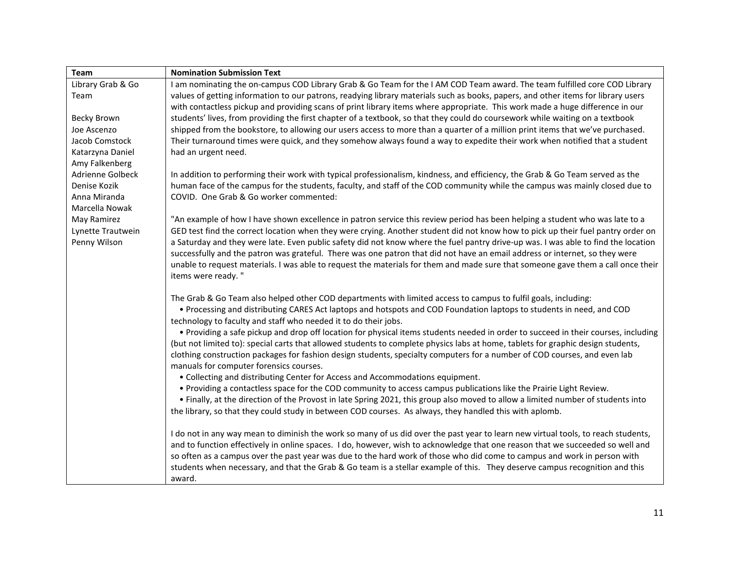| Team              | <b>Nomination Submission Text</b>                                                                                                  |
|-------------------|------------------------------------------------------------------------------------------------------------------------------------|
| Library Grab & Go | I am nominating the on-campus COD Library Grab & Go Team for the I AM COD Team award. The team fulfilled core COD Library          |
| Team              | values of getting information to our patrons, readying library materials such as books, papers, and other items for library users  |
|                   | with contactless pickup and providing scans of print library items where appropriate. This work made a huge difference in our      |
| Becky Brown       | students' lives, from providing the first chapter of a textbook, so that they could do coursework while waiting on a textbook      |
| Joe Ascenzo       | shipped from the bookstore, to allowing our users access to more than a quarter of a million print items that we've purchased.     |
| Jacob Comstock    | Their turnaround times were quick, and they somehow always found a way to expedite their work when notified that a student         |
| Katarzyna Daniel  | had an urgent need.                                                                                                                |
| Amy Falkenberg    |                                                                                                                                    |
| Adrienne Golbeck  | In addition to performing their work with typical professionalism, kindness, and efficiency, the Grab & Go Team served as the      |
| Denise Kozik      | human face of the campus for the students, faculty, and staff of the COD community while the campus was mainly closed due to       |
| Anna Miranda      | COVID. One Grab & Go worker commented:                                                                                             |
| Marcella Nowak    |                                                                                                                                    |
| May Ramirez       | "An example of how I have shown excellence in patron service this review period has been helping a student who was late to a       |
| Lynette Trautwein | GED test find the correct location when they were crying. Another student did not know how to pick up their fuel pantry order on   |
| Penny Wilson      | a Saturday and they were late. Even public safety did not know where the fuel pantry drive-up was. I was able to find the location |
|                   | successfully and the patron was grateful. There was one patron that did not have an email address or internet, so they were        |
|                   | unable to request materials. I was able to request the materials for them and made sure that someone gave them a call once their   |
|                   | items were ready."                                                                                                                 |
|                   |                                                                                                                                    |
|                   | The Grab & Go Team also helped other COD departments with limited access to campus to fulfil goals, including:                     |
|                   | . Processing and distributing CARES Act laptops and hotspots and COD Foundation laptops to students in need, and COD               |
|                   | technology to faculty and staff who needed it to do their jobs.                                                                    |
|                   | • Providing a safe pickup and drop off location for physical items students needed in order to succeed in their courses, including |
|                   | (but not limited to): special carts that allowed students to complete physics labs at home, tablets for graphic design students,   |
|                   | clothing construction packages for fashion design students, specialty computers for a number of COD courses, and even lab          |
|                   | manuals for computer forensics courses.<br>• Collecting and distributing Center for Access and Accommodations equipment.           |
|                   | . Providing a contactless space for the COD community to access campus publications like the Prairie Light Review.                 |
|                   | . Finally, at the direction of the Provost in late Spring 2021, this group also moved to allow a limited number of students into   |
|                   | the library, so that they could study in between COD courses. As always, they handled this with aplomb.                            |
|                   |                                                                                                                                    |
|                   | I do not in any way mean to diminish the work so many of us did over the past year to learn new virtual tools, to reach students,  |
|                   | and to function effectively in online spaces. I do, however, wish to acknowledge that one reason that we succeeded so well and     |
|                   | so often as a campus over the past year was due to the hard work of those who did come to campus and work in person with           |
|                   | students when necessary, and that the Grab & Go team is a stellar example of this. They deserve campus recognition and this        |
|                   | award.                                                                                                                             |
|                   |                                                                                                                                    |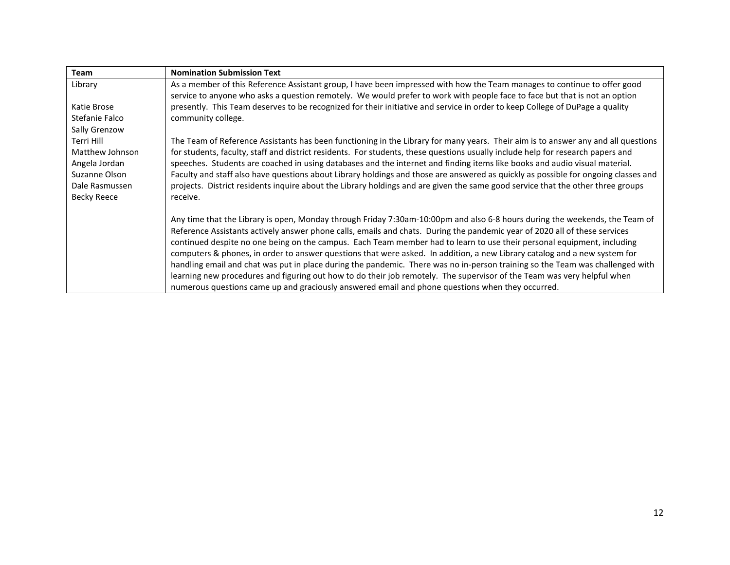| <b>Team</b>        | <b>Nomination Submission Text</b>                                                                                                  |
|--------------------|------------------------------------------------------------------------------------------------------------------------------------|
| Library            | As a member of this Reference Assistant group, I have been impressed with how the Team manages to continue to offer good           |
|                    | service to anyone who asks a question remotely. We would prefer to work with people face to face but that is not an option         |
| Katie Brose        | presently. This Team deserves to be recognized for their initiative and service in order to keep College of DuPage a quality       |
| Stefanie Falco     | community college.                                                                                                                 |
| Sally Grenzow      |                                                                                                                                    |
| Terri Hill         | The Team of Reference Assistants has been functioning in the Library for many years. Their aim is to answer any and all questions  |
| Matthew Johnson    | for students, faculty, staff and district residents. For students, these questions usually include help for research papers and    |
| Angela Jordan      | speeches. Students are coached in using databases and the internet and finding items like books and audio visual material.         |
| Suzanne Olson      | Faculty and staff also have questions about Library holdings and those are answered as quickly as possible for ongoing classes and |
| Dale Rasmussen     | projects. District residents inquire about the Library holdings and are given the same good service that the other three groups    |
| <b>Becky Reece</b> | receive.                                                                                                                           |
|                    |                                                                                                                                    |
|                    | Any time that the Library is open, Monday through Friday 7:30am-10:00pm and also 6-8 hours during the weekends, the Team of        |
|                    | Reference Assistants actively answer phone calls, emails and chats. During the pandemic year of 2020 all of these services         |
|                    | continued despite no one being on the campus. Each Team member had to learn to use their personal equipment, including             |
|                    | computers & phones, in order to answer questions that were asked. In addition, a new Library catalog and a new system for          |
|                    | handling email and chat was put in place during the pandemic. There was no in-person training so the Team was challenged with      |
|                    | learning new procedures and figuring out how to do their job remotely. The supervisor of the Team was very helpful when            |
|                    | numerous questions came up and graciously answered email and phone questions when they occurred.                                   |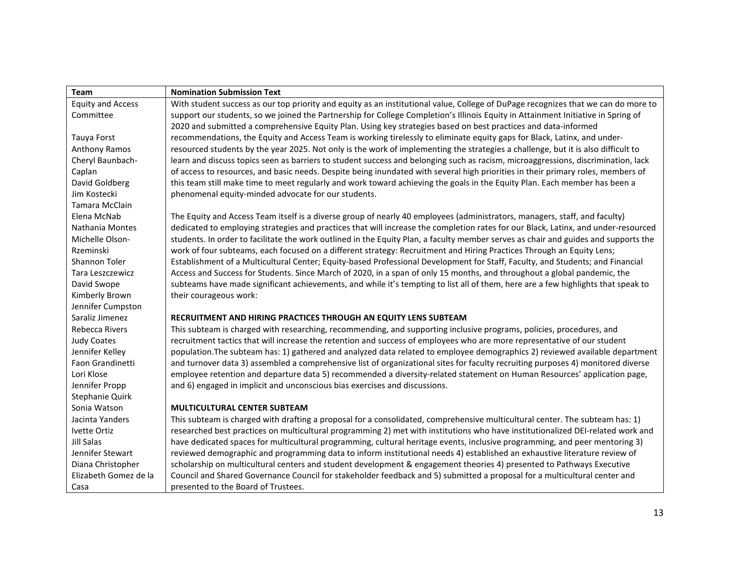| Team                     | <b>Nomination Submission Text</b>                                                                                                   |
|--------------------------|-------------------------------------------------------------------------------------------------------------------------------------|
| <b>Equity and Access</b> | With student success as our top priority and equity as an institutional value, College of DuPage recognizes that we can do more to  |
| Committee                | support our students, so we joined the Partnership for College Completion's Illinois Equity in Attainment Initiative in Spring of   |
|                          | 2020 and submitted a comprehensive Equity Plan. Using key strategies based on best practices and data-informed                      |
| Tauya Forst              | recommendations, the Equity and Access Team is working tirelessly to eliminate equity gaps for Black, Latinx, and under-            |
| Anthony Ramos            | resourced students by the year 2025. Not only is the work of implementing the strategies a challenge, but it is also difficult to   |
| Cheryl Baunbach-         | learn and discuss topics seen as barriers to student success and belonging such as racism, microaggressions, discrimination, lack   |
| Caplan                   | of access to resources, and basic needs. Despite being inundated with several high priorities in their primary roles, members of    |
| David Goldberg           | this team still make time to meet regularly and work toward achieving the goals in the Equity Plan. Each member has been a          |
| Jim Kostecki             | phenomenal equity-minded advocate for our students.                                                                                 |
| Tamara McClain           |                                                                                                                                     |
| Elena McNab              | The Equity and Access Team itself is a diverse group of nearly 40 employees (administrators, managers, staff, and faculty)          |
| Nathania Montes          | dedicated to employing strategies and practices that will increase the completion rates for our Black, Latinx, and under-resourced  |
| Michelle Olson-          | students. In order to facilitate the work outlined in the Equity Plan, a faculty member serves as chair and guides and supports the |
| Rzeminski                | work of four subteams, each focused on a different strategy: Recruitment and Hiring Practices Through an Equity Lens;               |
| Shannon Toler            | Establishment of a Multicultural Center; Equity-based Professional Development for Staff, Faculty, and Students; and Financial      |
| Tara Leszczewicz         | Access and Success for Students. Since March of 2020, in a span of only 15 months, and throughout a global pandemic, the            |
| David Swope              | subteams have made significant achievements, and while it's tempting to list all of them, here are a few highlights that speak to   |
| Kimberly Brown           | their courageous work:                                                                                                              |
| Jennifer Cumpston        |                                                                                                                                     |
| Saraliz Jimenez          | RECRUITMENT AND HIRING PRACTICES THROUGH AN EQUITY LENS SUBTEAM                                                                     |
| Rebecca Rivers           | This subteam is charged with researching, recommending, and supporting inclusive programs, policies, procedures, and                |
| <b>Judy Coates</b>       | recruitment tactics that will increase the retention and success of employees who are more representative of our student            |
| Jennifer Kelley          | population. The subteam has: 1) gathered and analyzed data related to employee demographics 2) reviewed available department        |
| Faon Grandinetti         | and turnover data 3) assembled a comprehensive list of organizational sites for faculty recruiting purposes 4) monitored diverse    |
| Lori Klose               | employee retention and departure data 5) recommended a diversity-related statement on Human Resources' application page,            |
| Jennifer Propp           | and 6) engaged in implicit and unconscious bias exercises and discussions.                                                          |
| Stephanie Quirk          |                                                                                                                                     |
| Sonia Watson             | <b>MULTICULTURAL CENTER SUBTEAM</b>                                                                                                 |
| Jacinta Yanders          | This subteam is charged with drafting a proposal for a consolidated, comprehensive multicultural center. The subteam has: 1)        |
| Ivette Ortiz             | researched best practices on multicultural programming 2) met with institutions who have institutionalized DEI-related work and     |
| Jill Salas               | have dedicated spaces for multicultural programming, cultural heritage events, inclusive programming, and peer mentoring 3)         |
| Jennifer Stewart         | reviewed demographic and programming data to inform institutional needs 4) established an exhaustive literature review of           |
| Diana Christopher        | scholarship on multicultural centers and student development & engagement theories 4) presented to Pathways Executive               |
| Elizabeth Gomez de la    | Council and Shared Governance Council for stakeholder feedback and 5) submitted a proposal for a multicultural center and           |
| Casa                     | presented to the Board of Trustees.                                                                                                 |